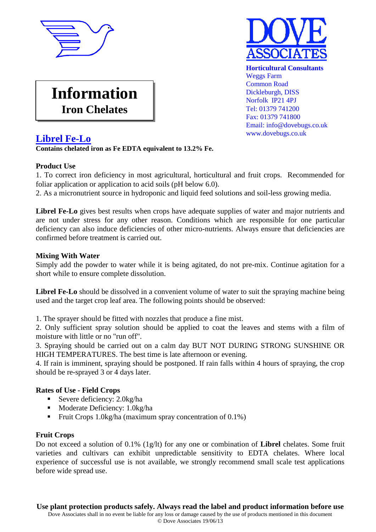



Email: info@dovebugs.co.uk

Tel: 01379 741200 Fax: 01379 741800

www.dovebugs.co.uk

**Information Iron Chelates**

# **Librel Fe-Lo**

## **Contains chelated iron as Fe EDTA equivalent to 13.2% Fe.**

## **Product Use**

1. To correct iron deficiency in most agricultural, horticultural and fruit crops. Recommended for foliar application or application to acid soils (pH below 6.0).

2. As a micronutrient source in hydroponic and liquid feed solutions and soil-less growing media.

**Librel Fe-Lo** gives best results when crops have adequate supplies of water and major nutrients and are not under stress for any other reason. Conditions which are responsible for one particular deficiency can also induce deficiencies of other micro-nutrients. Always ensure that deficiencies are confirmed before treatment is carried out.

## **Mixing With Water**

Simply add the powder to water while it is being agitated, do not pre-mix. Continue agitation for a short while to ensure complete dissolution.

Librel Fe-Lo should be dissolved in a convenient volume of water to suit the spraying machine being used and the target crop leaf area. The following points should be observed:

1. The sprayer should be fitted with nozzles that produce a fine mist.

2. Only sufficient spray solution should be applied to coat the leaves and stems with a film of moisture with little or no "run off".

3. Spraying should be carried out on a calm day BUT NOT DURING STRONG SUNSHINE OR HIGH TEMPERATURES. The best time is late afternoon or evening.

4. If rain is imminent, spraying should be postponed. If rain falls within 4 hours of spraying, the crop should be re-sprayed 3 or 4 days later.

## **Rates of Use - Field Crops**

- Severe deficiency: 2.0kg/ha
- Moderate Deficiency: 1.0kg/ha
- Fruit Crops 1.0kg/ha (maximum spray concentration of  $0.1\%$ )

#### **Fruit Crops**

Do not exceed a solution of 0.1% (1g/lt) for any one or combination of **Librel** chelates. Some fruit varieties and cultivars can exhibit unpredictable sensitivity to EDTA chelates. Where local experience of successful use is not available, we strongly recommend small scale test applications before wide spread use.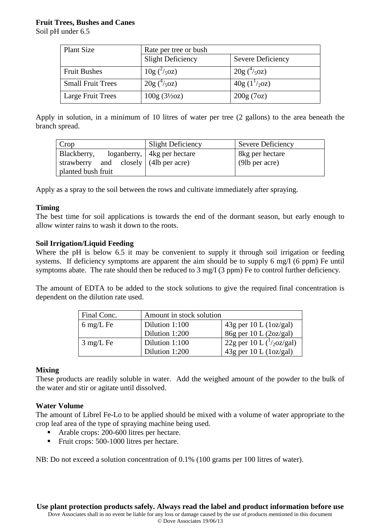## **Fruit Trees, Bushes and Canes**

Soil pH under 6.5

| <b>Plant Size</b>        | Rate per tree or bush    |                      |
|--------------------------|--------------------------|----------------------|
|                          | <b>Slight Deficiency</b> | Severe Deficiency    |
| <b>Fruit Bushes</b>      | $10g(^2/50z)$            | $20g(^4/50z)$        |
| <b>Small Fruit Trees</b> | $20g(^4/50z)$            | $40g (1^{1}/_{2}oz)$ |
| Large Fruit Trees        | $100g (3\frac{1}{2}oz)$  | 200g(7oz)            |

Apply in solution, in a minimum of 10 litres of water per tree (2 gallons) to the area beneath the branch spread.

| Crop                                  | <b>Slight Deficiency</b>      | Severe Deficiency |
|---------------------------------------|-------------------------------|-------------------|
| Blackberry,                           | loganberry,   4kg per hectare | 8kg per hectare   |
| strawberry and closely (4lb per acre) |                               | (9lb per acre)    |
| planted bush fruit                    |                               |                   |

Apply as a spray to the soil between the rows and cultivate immediately after spraying.

#### **Timing**

The best time for soil applications is towards the end of the dormant season, but early enough to allow winter rains to wash it down to the roots.

#### **Soil Irrigation/Liquid Feeding**

Where the pH is below 6.5 it may be convenient to supply it through soil irrigation or feeding systems. If deficiency symptoms are apparent the aim should be to supply 6 mg/I (6 ppm) Fe until symptoms abate. The rate should then be reduced to 3 mg/I (3 ppm) Fe to control further deficiency.

The amount of EDTA to be added to the stock solutions to give the required final concentration is dependent on the dilution rate used.

| Final Conc.         | Amount in stock solution |                                     |
|---------------------|--------------------------|-------------------------------------|
| $6 \text{ mg/L}$ Fe | Dilution 1:100           | $43g$ per 10 L (1oz/gal)            |
|                     | Dilution 1:200           | $86g$ per 10 L (2oz/gal)            |
| $3 \text{ mg/L}$ Fe | Dilution 1:100           | 22g per 10 L $\binom{1}{2}$ oz/gal) |
|                     | Dilution 1:200           | $43g$ per 10 L (1oz/gal)            |

## **Mixing**

These products are readily soluble in water. Add the weighed amount of the powder to the bulk of the water and stir or agitate until dissolved.

## **Water Volume**

The amount of Librel Fe-Lo to be applied should be mixed with a volume of water appropriate to the crop leaf area of the type of spraying machine being used.

- Arable crops: 200-600 litres per hectare.
- Fruit crops: 500-1000 litres per hectare.

NB: Do not exceed a solution concentration of 0.1% (100 grams per 100 litres of water).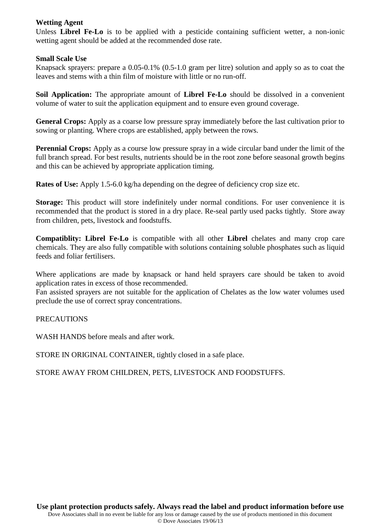#### **Wetting Agent**

Unless **Librel Fe-Lo** is to be applied with a pesticide containing sufficient wetter, a non-ionic wetting agent should be added at the recommended dose rate.

#### **Small Scale Use**

Knapsack sprayers: prepare a 0.05-0.1% (0.5-1.0 gram per litre) solution and apply so as to coat the leaves and stems with a thin film of moisture with little or no run-off.

**Soil Application:** The appropriate amount of **Librel Fe-Lo** should be dissolved in a convenient volume of water to suit the application equipment and to ensure even ground coverage.

**General Crops:** Apply as a coarse low pressure spray immediately before the last cultivation prior to sowing or planting. Where crops are established, apply between the rows.

**Perennial Crops:** Apply as a course low pressure spray in a wide circular band under the limit of the full branch spread. For best results, nutrients should be in the root zone before seasonal growth begins and this can be achieved by appropriate application timing.

**Rates of Use:** Apply 1.5-6.0 kg/ha depending on the degree of deficiency crop size etc.

**Storage:** This product will store indefinitely under normal conditions. For user convenience it is recommended that the product is stored in a dry place. Re-seal partly used packs tightly.Store away from children, pets, livestock and foodstuffs.

**Compatiblity: Librel Fe-Lo** is compatible with all other **Librel** chelates and many crop care chemicals. They are also fully compatible with solutions containing soluble phosphates such as liquid feeds and foliar fertilisers.

Where applications are made by knapsack or hand held sprayers care should be taken to avoid application rates in excess of those recommended.

Fan assisted sprayers are not suitable for the application of Chelates as the low water volumes used preclude the use of correct spray concentrations.

## PRECAUTIONS

WASH HANDS before meals and after work.

STORE IN ORIGINAL CONTAINER, tightly closed in a safe place.

STORE AWAY FROM CHILDREN, PETS, LIVESTOCK AND FOODSTUFFS.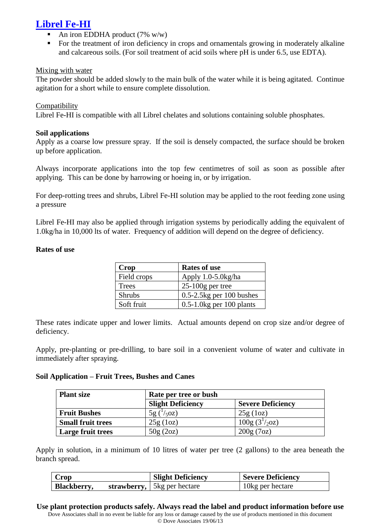# **Librel Fe-HI**

- An iron EDDHA product (7% w/w)
- For the treatment of iron deficiency in crops and ornamentals growing in moderately alkaline and calcareous soils. (For soil treatment of acid soils where pH is under 6.5, use EDTA).

#### Mixing with water

The powder should be added slowly to the main bulk of the water while it is being agitated. Continue agitation for a short while to ensure complete dissolution.

#### **Compatibility**

Librel Fe-HI is compatible with all Librel chelates and solutions containing soluble phosphates.

#### **Soil applications**

Apply as a coarse low pressure spray. If the soil is densely compacted, the surface should be broken up before application.

Always incorporate applications into the top few centimetres of soil as soon as possible after applying. This can be done by harrowing or hoeing in, or by irrigation.

For deep-rotting trees and shrubs, Librel Fe-HI solution may be applied to the root feeding zone using a pressure

Librel Fe-HI may also be applied through irrigation systems by periodically adding the equivalent of 1.0kg/ha in 10,000 lts of water. Frequency of addition will depend on the degree of deficiency.

#### **Rates of use**

| Crop          | <b>Rates of use</b>           |
|---------------|-------------------------------|
| Field crops   | Apply 1.0-5.0kg/ha            |
| Trees         | $25-100$ g per tree           |
| <b>Shrubs</b> | $0.5 - 2.5$ kg per 100 bushes |
| Soft fruit    | $0.5-1.0$ kg per 100 plants   |

These rates indicate upper and lower limits. Actual amounts depend on crop size and/or degree of deficiency.

Apply, pre-planting or pre-drilling, to bare soil in a convenient volume of water and cultivate in immediately after spraying.

#### **Soil Application – Fruit Trees, Bushes and Canes**

| <b>Plant size</b>        | Rate per tree or bush    |                            |
|--------------------------|--------------------------|----------------------------|
|                          | <b>Slight Deficiency</b> | <b>Severe Deficiency</b>   |
| <b>Fruit Bushes</b>      | $5g(^{1}/_{5}oz)$        | 25g(1oz)                   |
| <b>Small fruit trees</b> | 25g(1oz)                 | 100g (3 <sup>1</sup> /20z) |
| Large fruit trees        | 50g(2oz)                 | 200g(7oz)                  |

Apply in solution, in a minimum of 10 litres of water per tree (2 gallons) to the area beneath the branch spread.

| <b>Crop</b> | <b>Slight Deficiency</b>    | <b>Severe Deficiency</b> |
|-------------|-----------------------------|--------------------------|
| Blackberry, | strawberry, 5kg per hectare | 10kg per hectare         |

**Use plant protection products safely. Always read the label and product information before use** Dove Associates shall in no event be liable for any loss or damage caused by the use of products mentioned in this document © Dove Associates 19/06/13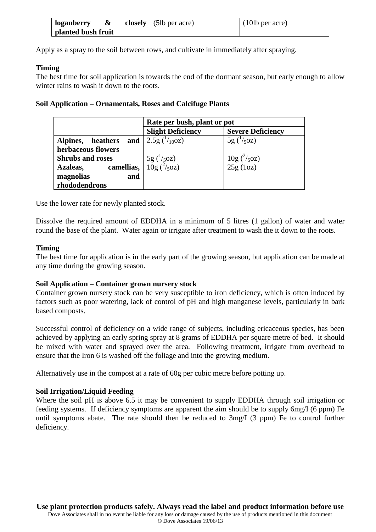| loganberry         | & | closely $(5lb \text{ per acre})$ | (10lb per acre) |
|--------------------|---|----------------------------------|-----------------|
| planted bush fruit |   |                                  |                 |

Apply as a spray to the soil between rows, and cultivate in immediately after spraying.

#### **Timing**

The best time for soil application is towards the end of the dormant season, but early enough to allow winter rains to wash it down to the roots.

#### **Soil Application – Ornamentals, Roses and Calcifuge Plants**

|                                                 | Rate per bush, plant or pot        |                                  |
|-------------------------------------------------|------------------------------------|----------------------------------|
|                                                 | <b>Slight Deficiency</b>           | <b>Severe Deficiency</b>         |
| Alpines, heathers and $\int 2.5g\frac{1}{100z}$ |                                    | $5g(^1/50z)$                     |
| herbaceous flowers                              |                                    |                                  |
| <b>Shrubs and roses</b>                         | $\frac{5g}{10g}$ $\frac{1}{5}oz$ ) | $\frac{10g}{25g}(\frac{2}{5}oz)$ |
| camellias,<br>Azaleas,                          |                                    |                                  |
| magnolias<br>and                                |                                    |                                  |
| rhododendrons                                   |                                    |                                  |

Use the lower rate for newly planted stock.

Dissolve the required amount of EDDHA in a minimum of 5 litres (1 gallon) of water and water round the base of the plant. Water again or irrigate after treatment to wash the it down to the roots.

#### **Timing**

The best time for application is in the early part of the growing season, but application can be made at any time during the growing season.

#### **Soil Application – Container grown nursery stock**

Container grown nursery stock can be very susceptible to iron deficiency, which is often induced by factors such as poor watering, lack of control of pH and high manganese levels, particularly in bark based composts.

Successful control of deficiency on a wide range of subjects, including ericaceous species, has been achieved by applying an early spring spray at 8 grams of EDDHA per square metre of bed. It should be mixed with water and sprayed over the area. Following treatment, irrigate from overhead to ensure that the Iron 6 is washed off the foliage and into the growing medium.

Alternatively use in the compost at a rate of 60g per cubic metre before potting up.

## **Soil Irrigation/Liquid Feeding**

Where the soil pH is above 6.5 it may be convenient to supply EDDHA through soil irrigation or feeding systems. If deficiency symptoms are apparent the aim should be to supply 6mg/I (6 ppm) Fe until symptoms abate. The rate should then be reduced to 3mg/I (3 ppm) Fe to control further deficiency.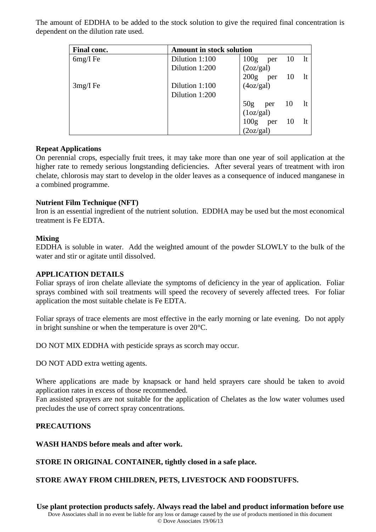The amount of EDDHA to be added to the stock solution to give the required final concentration is dependent on the dilution rate used.

| Final conc. | <b>Amount in stock solution</b> |                                       |
|-------------|---------------------------------|---------------------------------------|
| $6mg/I$ Fe  | Dilution 1:100                  | 100 <sub>g</sub><br>lt<br>- 10<br>per |
|             | Dilution 1:200                  | (2oz/gal)                             |
|             |                                 | $200g$ per<br>- 10<br>lt              |
| $3mg/I$ Fe  | Dilution 1:100                  | (4oz/gal)                             |
|             | Dilution 1:200                  |                                       |
|             |                                 | 50g<br>10 lt<br>per                   |
|             |                                 | (1oz/gal)                             |
|             |                                 | $100g$ per<br>10<br>- 1t              |
|             |                                 | (2oz/gal)                             |

## **Repeat Applications**

On perennial crops, especially fruit trees, it may take more than one year of soil application at the higher rate to remedy serious longstanding deficiencies. After several years of treatment with iron chelate, chlorosis may start to develop in the older leaves as a consequence of induced manganese in a combined programme.

## **Nutrient Film Technique (NFT)**

Iron is an essential ingredient of the nutrient solution. EDDHA may be used but the most economical treatment is Fe EDTA.

## **Mixing**

EDDHA is soluble in water. Add the weighted amount of the powder SLOWLY to the bulk of the water and stir or agitate until dissolved.

## **APPLICATION DETAILS**

Foliar sprays of iron chelate alleviate the symptoms of deficiency in the year of application. Foliar sprays combined with soil treatments will speed the recovery of severely affected trees. For foliar application the most suitable chelate is Fe EDTA.

Foliar sprays of trace elements are most effective in the early morning or late evening. Do not apply in bright sunshine or when the temperature is over 20°C.

DO NOT MIX EDDHA with pesticide sprays as scorch may occur.

DO NOT ADD extra wetting agents.

Where applications are made by knapsack or hand held sprayers care should be taken to avoid application rates in excess of those recommended.

Fan assisted sprayers are not suitable for the application of Chelates as the low water volumes used precludes the use of correct spray concentrations.

# **PRECAUTIONS**

## **WASH HANDS before meals and after work.**

**STORE IN ORIGINAL CONTAINER, tightly closed in a safe place.**

## **STORE AWAY FROM CHILDREN, PETS, LIVESTOCK AND FOODSTUFFS.**